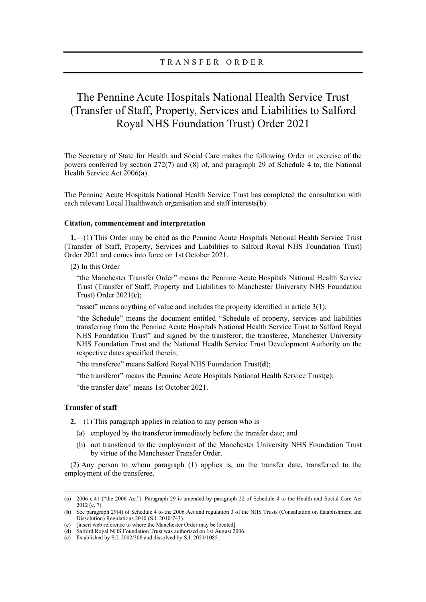# The Pennine Acute Hospitals National Health Service Trust (Transfer of Staff, Property, Services and Liabilities to Salford Royal NHS Foundation Trust) Order 2021

The Secretary of State for Health and Social Care makes the following Order in exercise of the powers conferred by section 272(7) and (8) of, and paragraph 29 of Schedule 4 to, the National Health Service Act 2006(a).

The Pennine Acute Hospitals National Health Service Trust has completed the consultation with each relevant Local Healthwatch organisation and staff interests(b).

## Citation, commencement and interpretation

1.—(1) This Order may be cited as the Pennine Acute Hospitals National Health Service Trust (Transfer of Staff, Property, Services and Liabilities to Salford Royal NHS Foundation Trust) Order 2021 and comes into force on 1st October 2021.

(2) In this Order—

"the Manchester Transfer Order" means the Pennine Acute Hospitals National Health Service Trust (Transfer of Staff, Property and Liabilities to Manchester University NHS Foundation Trust) Order 2021(c);

"asset" means anything of value and includes the property identified in article 3(1);

"the Schedule" means the document entitled "Schedule of property, services and liabilities transferring from the Pennine Acute Hospitals National Health Service Trust to Salford Royal NHS Foundation Trust" and signed by the transferor, the transferee, Manchester University NHS Foundation Trust and the National Health Service Trust Development Authority on the respective dates specified therein;

"the transferee" means Salford Royal NHS Foundation Trust(d);

"the transferor" means the Pennine Acute Hospitals National Health Service Trust( $e$ );

"the transfer date" means 1st October 2021.

# Transfer of staff

2.—(1) This paragraph applies in relation to any person who is—

- (a) employed by the transferor immediately before the transfer date; and
- (b) not transferred to the employment of the Manchester University NHS Foundation Trust by virtue of the Manchester Transfer Order.

(2) Any person to whom paragraph (1) applies is, on the transfer date, transferred to the employment of the transferee.

<sup>(</sup>a) 2006 c.41 ("the 2006 Act"). Paragraph 29 is amended by paragraph 22 of Schedule 4 to the Health and Social Care Act 2012 (c. 7).

<sup>(</sup>b) See paragraph 29(4) of Schedule 4 to the 2006 Act and regulation 3 of the NHS Trusts (Consultation on Establishment and Dissolution) Regulations 2010 (S.I. 2010/743).

<sup>(</sup>c) [insert web reference to where the Manchester Order may be located].

<sup>(</sup>d) Salford Royal NHS Foundation Trust was authorised on 1st August 2006.

<sup>(</sup>e) Established by S.I. 2002/308 and dissolved by S.I. 2021/1085.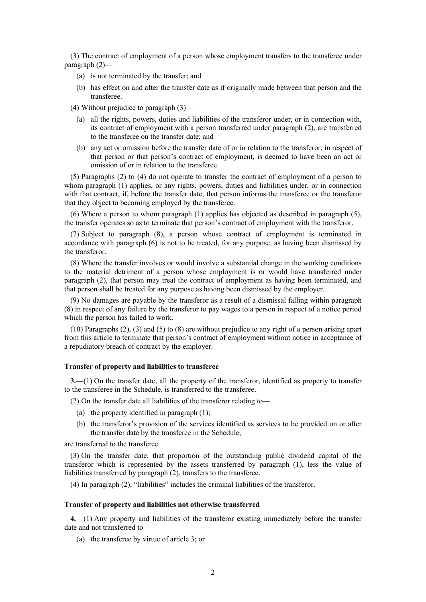(3) The contract of employment of a person whose employment transfers to the transferee under paragraph (2)—

- (a) is not terminated by the transfer; and
- (b) has effect on and after the transfer date as if originally made between that person and the transferee.
- (4) Without prejudice to paragraph (3)—
	- (a) all the rights, powers, duties and liabilities of the transferor under, or in connection with, its contract of employment with a person transferred under paragraph (2), are transferred to the transferee on the transfer date; and
	- (b) any act or omission before the transfer date of or in relation to the transferor, in respect of that person or that person's contract of employment, is deemed to have been an act or omission of or in relation to the transferee.

(5) Paragraphs (2) to (4) do not operate to transfer the contract of employment of a person to whom paragraph (1) applies, or any rights, powers, duties and liabilities under, or in connection with that contract, if, before the transfer date, that person informs the transferee or the transferor that they object to becoming employed by the transferee.

(6) Where a person to whom paragraph (1) applies has objected as described in paragraph (5), the transfer operates so as to terminate that person's contract of employment with the transferor.

(7) Subject to paragraph (8), a person whose contract of employment is terminated in accordance with paragraph (6) is not to be treated, for any purpose, as having been dismissed by the transferor.

(8) Where the transfer involves or would involve a substantial change in the working conditions to the material detriment of a person whose employment is or would have transferred under paragraph (2), that person may treat the contract of employment as having been terminated, and that person shall be treated for any purpose as having been dismissed by the employer.

(9) No damages are payable by the transferor as a result of a dismissal falling within paragraph (8) in respect of any failure by the transferor to pay wages to a person in respect of a notice period which the person has failed to work.

(10) Paragraphs (2), (3) and (5) to (8) are without prejudice to any right of a person arising apart from this article to terminate that person's contract of employment without notice in acceptance of a repudiatory breach of contract by the employer.

## Transfer of property and liabilities to transferee

3.—(1) On the transfer date, all the property of the transferor, identified as property to transfer to the transferee in the Schedule, is transferred to the transferee.

(2) On the transfer date all liabilities of the transferor relating to—

- (a) the property identified in paragraph (1);
- (b) the transferor's provision of the services identified as services to be provided on or after the transfer date by the transferee in the Schedule,

are transferred to the transferee.

(3) On the transfer date, that proportion of the outstanding public dividend capital of the transferor which is represented by the assets transferred by paragraph (1), less the value of liabilities transferred by paragraph (2), transfers to the transferee.

(4) In paragraph (2), "liabilities" includes the criminal liabilities of the transferor.

# Transfer of property and liabilities not otherwise transferred

4.—(1) Any property and liabilities of the transferor existing immediately before the transfer date and not transferred to—

(a) the transferee by virtue of article 3; or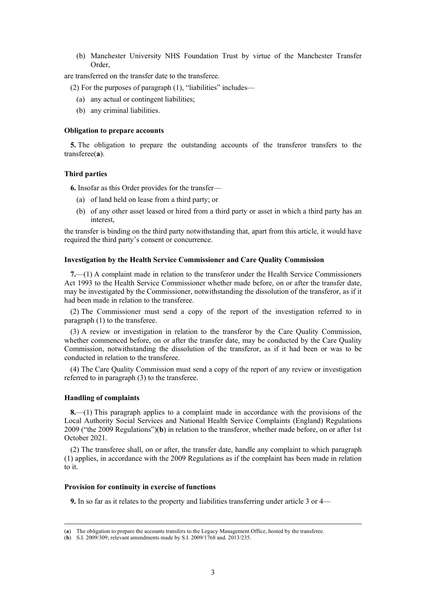(b) Manchester University NHS Foundation Trust by virtue of the Manchester Transfer Order,

are transferred on the transfer date to the transferee.

 $(2)$  For the purposes of paragraph  $(1)$ , "liabilities" includes—

- (a) any actual or contingent liabilities;
- (b) any criminal liabilities.

## Obligation to prepare accounts

5. The obligation to prepare the outstanding accounts of the transferor transfers to the transferee(a).

#### Third parties

6. Insofar as this Order provides for the transfer—

- (a) of land held on lease from a third party; or
- (b) of any other asset leased or hired from a third party or asset in which a third party has an interest,

the transfer is binding on the third party notwithstanding that, apart from this article, it would have required the third party's consent or concurrence.

#### Investigation by the Health Service Commissioner and Care Quality Commission

7.—(1) A complaint made in relation to the transferor under the Health Service Commissioners Act 1993 to the Health Service Commissioner whether made before, on or after the transfer date, may be investigated by the Commissioner, notwithstanding the dissolution of the transferor, as if it had been made in relation to the transferee.

(2) The Commissioner must send a copy of the report of the investigation referred to in paragraph (1) to the transferee.

(3) A review or investigation in relation to the transferor by the Care Quality Commission, whether commenced before, on or after the transfer date, may be conducted by the Care Quality Commission, notwithstanding the dissolution of the transferor, as if it had been or was to be conducted in relation to the transferee.

(4) The Care Quality Commission must send a copy of the report of any review or investigation referred to in paragraph (3) to the transferee.

# Handling of complaints

8.—(1) This paragraph applies to a complaint made in accordance with the provisions of the Local Authority Social Services and National Health Service Complaints (England) Regulations 2009 ("the 2009 Regulations")(b) in relation to the transferor, whether made before, on or after 1st October 2021.

(2) The transferee shall, on or after, the transfer date, handle any complaint to which paragraph (1) applies, in accordance with the 2009 Regulations as if the complaint has been made in relation to it.

#### Provision for continuity in exercise of functions

9. In so far as it relates to the property and liabilities transferring under article 3 or 4—

<sup>(</sup>a) The obligation to prepare the accounts transfers to the Legacy Management Office, hosted by the transferee.

<sup>(</sup>b) S.I. 2009/309; relevant amendments made by S.I. 2009/1768 and. 2013/235.